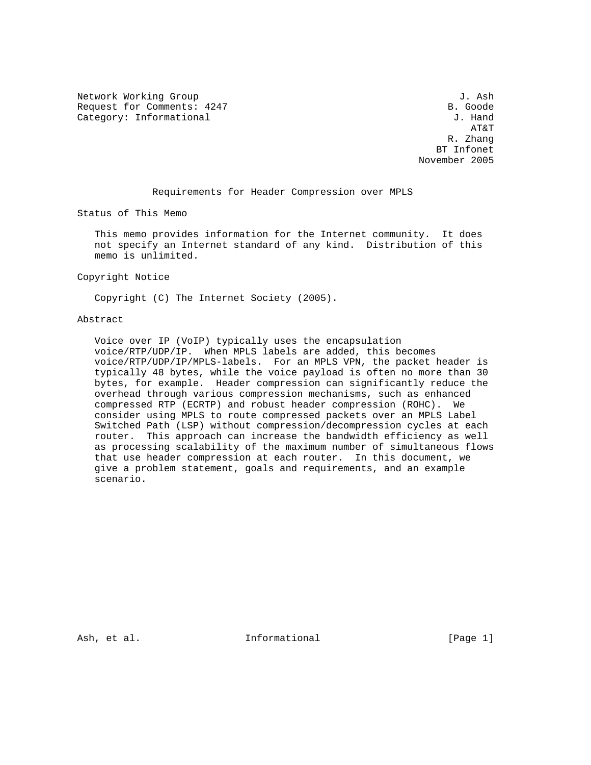Network Working Group 3. Ash J. Ash Request for Comments: 4247 B. Goode<br>
Category: Informational and Category: Informational Category: Informational

 AT&T R. Zhang BT Infonet November 2005

Requirements for Header Compression over MPLS

Status of This Memo

 This memo provides information for the Internet community. It does not specify an Internet standard of any kind. Distribution of this memo is unlimited.

Copyright Notice

Copyright (C) The Internet Society (2005).

### Abstract

 Voice over IP (VoIP) typically uses the encapsulation voice/RTP/UDP/IP. When MPLS labels are added, this becomes voice/RTP/UDP/IP/MPLS-labels. For an MPLS VPN, the packet header is typically 48 bytes, while the voice payload is often no more than 30 bytes, for example. Header compression can significantly reduce the overhead through various compression mechanisms, such as enhanced compressed RTP (ECRTP) and robust header compression (ROHC). We consider using MPLS to route compressed packets over an MPLS Label Switched Path (LSP) without compression/decompression cycles at each router. This approach can increase the bandwidth efficiency as well as processing scalability of the maximum number of simultaneous flows that use header compression at each router. In this document, we give a problem statement, goals and requirements, and an example scenario.

Ash, et al.  $\qquad \qquad$  Informational [Page 1]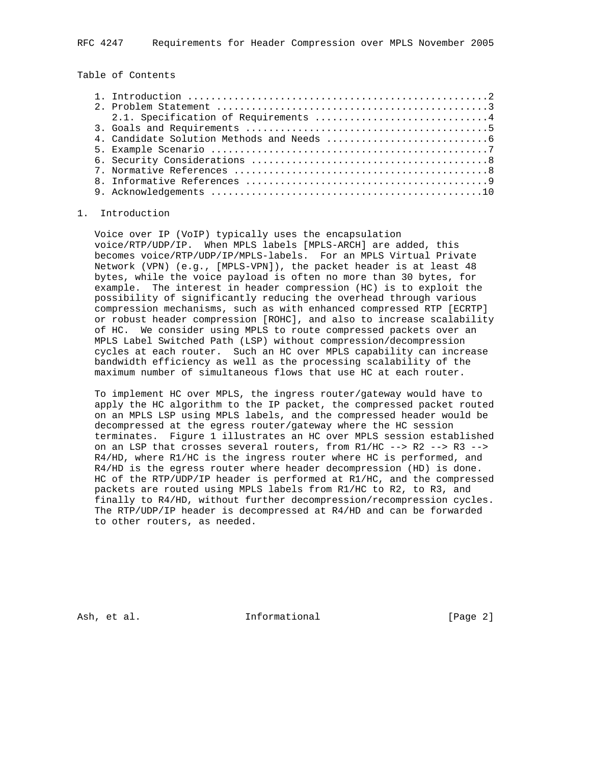Table of Contents

# 1. Introduction

 Voice over IP (VoIP) typically uses the encapsulation voice/RTP/UDP/IP. When MPLS labels [MPLS-ARCH] are added, this becomes voice/RTP/UDP/IP/MPLS-labels. For an MPLS Virtual Private Network (VPN) (e.g., [MPLS-VPN]), the packet header is at least 48 bytes, while the voice payload is often no more than 30 bytes, for example. The interest in header compression (HC) is to exploit the possibility of significantly reducing the overhead through various compression mechanisms, such as with enhanced compressed RTP [ECRTP] or robust header compression [ROHC], and also to increase scalability of HC. We consider using MPLS to route compressed packets over an MPLS Label Switched Path (LSP) without compression/decompression cycles at each router. Such an HC over MPLS capability can increase bandwidth efficiency as well as the processing scalability of the maximum number of simultaneous flows that use HC at each router.

 To implement HC over MPLS, the ingress router/gateway would have to apply the HC algorithm to the IP packet, the compressed packet routed on an MPLS LSP using MPLS labels, and the compressed header would be decompressed at the egress router/gateway where the HC session terminates. Figure 1 illustrates an HC over MPLS session established on an LSP that crosses several routers, from R1/HC --> R2 --> R3 --> R4/HD, where R1/HC is the ingress router where HC is performed, and R4/HD is the egress router where header decompression (HD) is done. HC of the RTP/UDP/IP header is performed at R1/HC, and the compressed packets are routed using MPLS labels from R1/HC to R2, to R3, and finally to R4/HD, without further decompression/recompression cycles. The RTP/UDP/IP header is decompressed at R4/HD and can be forwarded to other routers, as needed.

Ash, et al.  $\qquad \qquad$  Informational  $[Page 2]$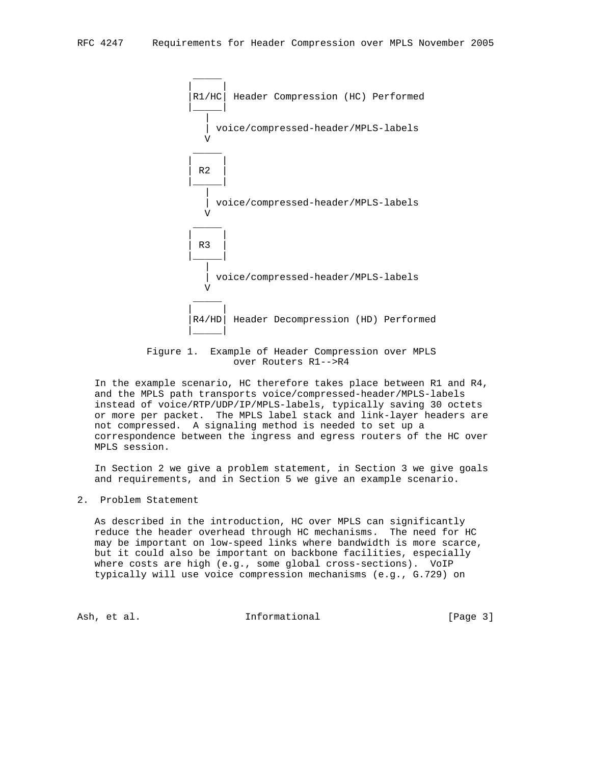

 Figure 1. Example of Header Compression over MPLS over Routers R1-->R4

 In the example scenario, HC therefore takes place between R1 and R4, and the MPLS path transports voice/compressed-header/MPLS-labels instead of voice/RTP/UDP/IP/MPLS-labels, typically saving 30 octets or more per packet. The MPLS label stack and link-layer headers are not compressed. A signaling method is needed to set up a correspondence between the ingress and egress routers of the HC over MPLS session.

 In Section 2 we give a problem statement, in Section 3 we give goals and requirements, and in Section 5 we give an example scenario.

2. Problem Statement

 As described in the introduction, HC over MPLS can significantly reduce the header overhead through HC mechanisms. The need for HC may be important on low-speed links where bandwidth is more scarce, but it could also be important on backbone facilities, especially where costs are high (e.g., some global cross-sections). VoIP typically will use voice compression mechanisms (e.g., G.729) on

Ash, et al.  $I_n$  Informational [Page 3]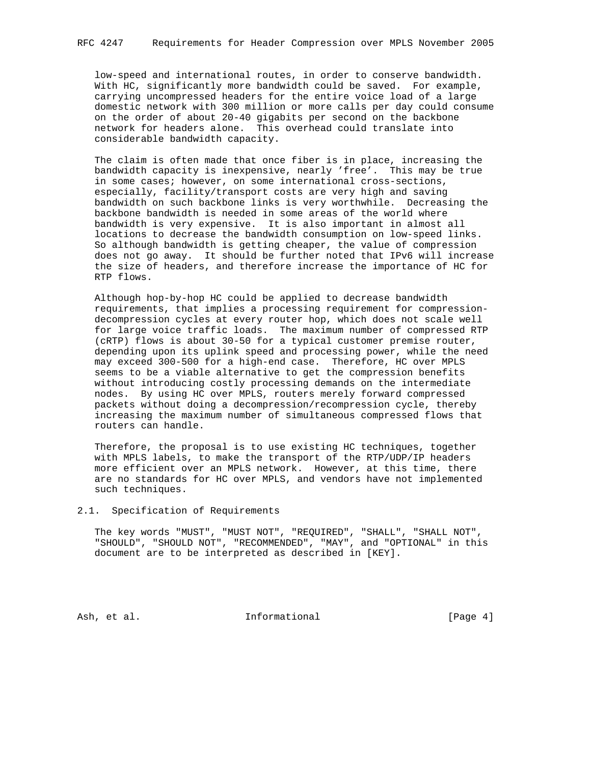low-speed and international routes, in order to conserve bandwidth. With HC, significantly more bandwidth could be saved. For example, carrying uncompressed headers for the entire voice load of a large domestic network with 300 million or more calls per day could consume on the order of about 20-40 gigabits per second on the backbone network for headers alone. This overhead could translate into considerable bandwidth capacity.

 The claim is often made that once fiber is in place, increasing the bandwidth capacity is inexpensive, nearly 'free'. This may be true in some cases; however, on some international cross-sections, especially, facility/transport costs are very high and saving bandwidth on such backbone links is very worthwhile. Decreasing the backbone bandwidth is needed in some areas of the world where bandwidth is very expensive. It is also important in almost all locations to decrease the bandwidth consumption on low-speed links. So although bandwidth is getting cheaper, the value of compression does not go away. It should be further noted that IPv6 will increase the size of headers, and therefore increase the importance of HC for RTP flows.

 Although hop-by-hop HC could be applied to decrease bandwidth requirements, that implies a processing requirement for compression decompression cycles at every router hop, which does not scale well for large voice traffic loads. The maximum number of compressed RTP (cRTP) flows is about 30-50 for a typical customer premise router, depending upon its uplink speed and processing power, while the need may exceed 300-500 for a high-end case. Therefore, HC over MPLS seems to be a viable alternative to get the compression benefits without introducing costly processing demands on the intermediate nodes. By using HC over MPLS, routers merely forward compressed packets without doing a decompression/recompression cycle, thereby increasing the maximum number of simultaneous compressed flows that routers can handle.

 Therefore, the proposal is to use existing HC techniques, together with MPLS labels, to make the transport of the RTP/UDP/IP headers more efficient over an MPLS network. However, at this time, there are no standards for HC over MPLS, and vendors have not implemented such techniques.

### 2.1. Specification of Requirements

 The key words "MUST", "MUST NOT", "REQUIRED", "SHALL", "SHALL NOT", "SHOULD", "SHOULD NOT", "RECOMMENDED", "MAY", and "OPTIONAL" in this document are to be interpreted as described in [KEY].

Ash, et al. 10. Informational 1. [Page 4]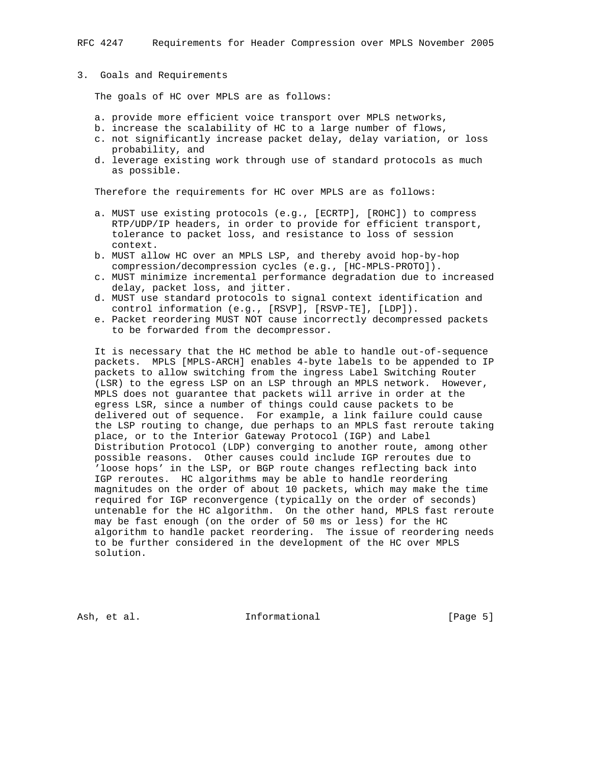#### 3. Goals and Requirements

The goals of HC over MPLS are as follows:

- a. provide more efficient voice transport over MPLS networks,
- b. increase the scalability of HC to a large number of flows,
- c. not significantly increase packet delay, delay variation, or loss probability, and
- d. leverage existing work through use of standard protocols as much as possible.

Therefore the requirements for HC over MPLS are as follows:

- a. MUST use existing protocols (e.g., [ECRTP], [ROHC]) to compress RTP/UDP/IP headers, in order to provide for efficient transport, tolerance to packet loss, and resistance to loss of session context.
- b. MUST allow HC over an MPLS LSP, and thereby avoid hop-by-hop compression/decompression cycles (e.g., [HC-MPLS-PROTO]).
- c. MUST minimize incremental performance degradation due to increased delay, packet loss, and jitter.
- d. MUST use standard protocols to signal context identification and control information (e.g., [RSVP], [RSVP-TE], [LDP]).
- e. Packet reordering MUST NOT cause incorrectly decompressed packets to be forwarded from the decompressor.

 It is necessary that the HC method be able to handle out-of-sequence packets. MPLS [MPLS-ARCH] enables 4-byte labels to be appended to IP packets to allow switching from the ingress Label Switching Router (LSR) to the egress LSP on an LSP through an MPLS network. However, MPLS does not guarantee that packets will arrive in order at the egress LSR, since a number of things could cause packets to be delivered out of sequence. For example, a link failure could cause the LSP routing to change, due perhaps to an MPLS fast reroute taking place, or to the Interior Gateway Protocol (IGP) and Label Distribution Protocol (LDP) converging to another route, among other possible reasons. Other causes could include IGP reroutes due to 'loose hops' in the LSP, or BGP route changes reflecting back into IGP reroutes. HC algorithms may be able to handle reordering magnitudes on the order of about 10 packets, which may make the time required for IGP reconvergence (typically on the order of seconds) untenable for the HC algorithm. On the other hand, MPLS fast reroute may be fast enough (on the order of 50 ms or less) for the HC algorithm to handle packet reordering. The issue of reordering needs to be further considered in the development of the HC over MPLS solution.

Ash, et al.  $I_n$  Informational [Page 5]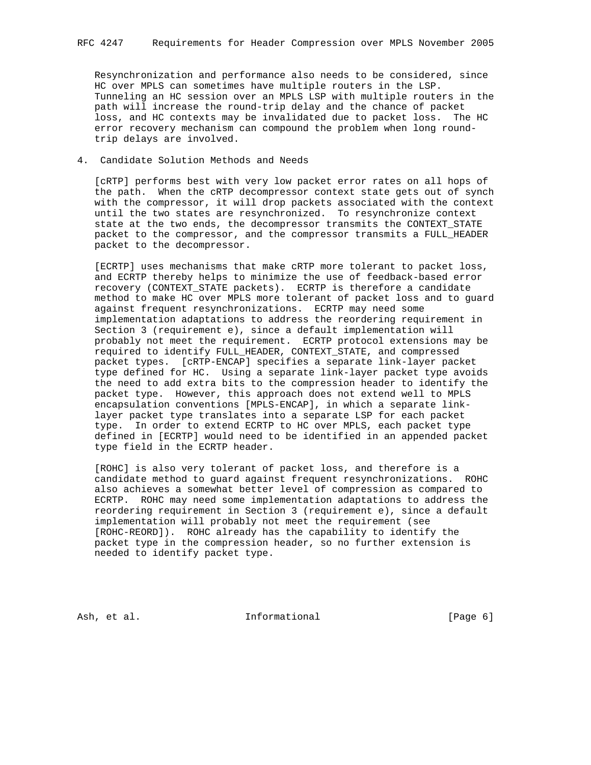Resynchronization and performance also needs to be considered, since HC over MPLS can sometimes have multiple routers in the LSP. Tunneling an HC session over an MPLS LSP with multiple routers in the path will increase the round-trip delay and the chance of packet loss, and HC contexts may be invalidated due to packet loss. The HC error recovery mechanism can compound the problem when long round trip delays are involved.

### 4. Candidate Solution Methods and Needs

 [cRTP] performs best with very low packet error rates on all hops of the path. When the cRTP decompressor context state gets out of synch with the compressor, it will drop packets associated with the context until the two states are resynchronized. To resynchronize context state at the two ends, the decompressor transmits the CONTEXT\_STATE packet to the compressor, and the compressor transmits a FULL\_HEADER packet to the decompressor.

 [ECRTP] uses mechanisms that make cRTP more tolerant to packet loss, and ECRTP thereby helps to minimize the use of feedback-based error recovery (CONTEXT\_STATE packets). ECRTP is therefore a candidate method to make HC over MPLS more tolerant of packet loss and to guard against frequent resynchronizations. ECRTP may need some implementation adaptations to address the reordering requirement in Section 3 (requirement e), since a default implementation will probably not meet the requirement. ECRTP protocol extensions may be required to identify FULL\_HEADER, CONTEXT\_STATE, and compressed packet types. [cRTP-ENCAP] specifies a separate link-layer packet type defined for HC. Using a separate link-layer packet type avoids the need to add extra bits to the compression header to identify the packet type. However, this approach does not extend well to MPLS encapsulation conventions [MPLS-ENCAP], in which a separate link layer packet type translates into a separate LSP for each packet type. In order to extend ECRTP to HC over MPLS, each packet type defined in [ECRTP] would need to be identified in an appended packet type field in the ECRTP header.

 [ROHC] is also very tolerant of packet loss, and therefore is a candidate method to guard against frequent resynchronizations. ROHC also achieves a somewhat better level of compression as compared to ECRTP. ROHC may need some implementation adaptations to address the reordering requirement in Section 3 (requirement e), since a default implementation will probably not meet the requirement (see [ROHC-REORD]). ROHC already has the capability to identify the packet type in the compression header, so no further extension is needed to identify packet type.

Ash, et al. 10. Informational 1. [Page 6]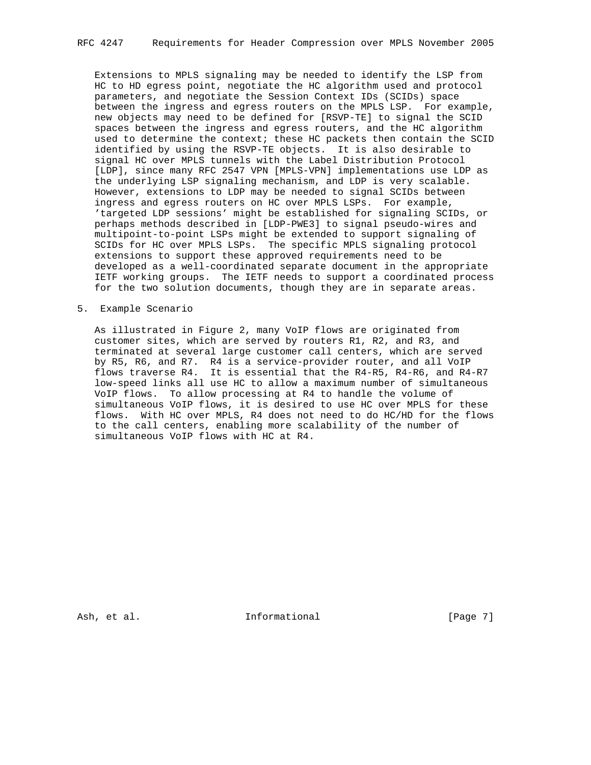Extensions to MPLS signaling may be needed to identify the LSP from HC to HD egress point, negotiate the HC algorithm used and protocol parameters, and negotiate the Session Context IDs (SCIDs) space between the ingress and egress routers on the MPLS LSP. For example, new objects may need to be defined for [RSVP-TE] to signal the SCID spaces between the ingress and egress routers, and the HC algorithm used to determine the context; these HC packets then contain the SCID identified by using the RSVP-TE objects. It is also desirable to signal HC over MPLS tunnels with the Label Distribution Protocol [LDP], since many RFC 2547 VPN [MPLS-VPN] implementations use LDP as the underlying LSP signaling mechanism, and LDP is very scalable. However, extensions to LDP may be needed to signal SCIDs between ingress and egress routers on HC over MPLS LSPs. For example, 'targeted LDP sessions' might be established for signaling SCIDs, or perhaps methods described in [LDP-PWE3] to signal pseudo-wires and multipoint-to-point LSPs might be extended to support signaling of SCIDs for HC over MPLS LSPs. The specific MPLS signaling protocol extensions to support these approved requirements need to be developed as a well-coordinated separate document in the appropriate IETF working groups. The IETF needs to support a coordinated process for the two solution documents, though they are in separate areas.

### 5. Example Scenario

 As illustrated in Figure 2, many VoIP flows are originated from customer sites, which are served by routers R1, R2, and R3, and terminated at several large customer call centers, which are served by R5, R6, and R7. R4 is a service-provider router, and all VoIP flows traverse R4. It is essential that the R4-R5, R4-R6, and R4-R7 low-speed links all use HC to allow a maximum number of simultaneous VoIP flows. To allow processing at R4 to handle the volume of simultaneous VoIP flows, it is desired to use HC over MPLS for these flows. With HC over MPLS, R4 does not need to do HC/HD for the flows to the call centers, enabling more scalability of the number of simultaneous VoIP flows with HC at R4.

Ash, et al. 10. Informational 1. [Page 7]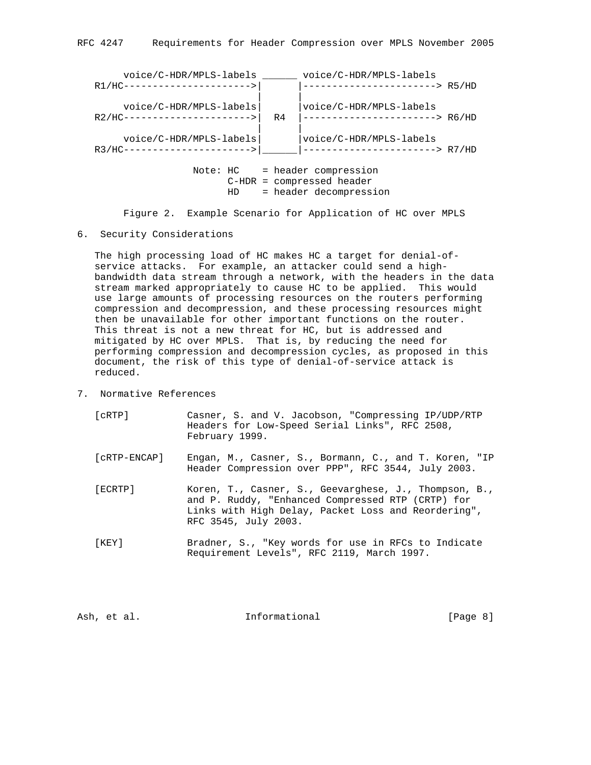

Figure 2. Example Scenario for Application of HC over MPLS

6. Security Considerations

 The high processing load of HC makes HC a target for denial-of service attacks. For example, an attacker could send a high bandwidth data stream through a network, with the headers in the data stream marked appropriately to cause HC to be applied. This would use large amounts of processing resources on the routers performing compression and decompression, and these processing resources might then be unavailable for other important functions on the router. This threat is not a new threat for HC, but is addressed and mitigated by HC over MPLS. That is, by reducing the need for performing compression and decompression cycles, as proposed in this document, the risk of this type of denial-of-service attack is reduced.

7. Normative References

| [cRTP]       | Casner, S. and V. Jacobson, "Compressing IP/UDP/RTP<br>Headers for Low-Speed Serial Links", RFC 2508,<br>February 1999.                                                                   |
|--------------|-------------------------------------------------------------------------------------------------------------------------------------------------------------------------------------------|
| [cRTP-ENCAP] | Engan, M., Casner, S., Bormann, C., and T. Koren, "IP<br>Header Compression over PPP", RFC 3544, July 2003.                                                                               |
| [ECRTP]      | Koren, T., Casner, S., Geevarghese, J., Thompson, B.,<br>and P. Ruddy, "Enhanced Compressed RTP (CRTP) for<br>Links with High Delay, Packet Loss and Reordering",<br>RFC 3545, July 2003. |
| [KEY]        | Bradner, S., "Key words for use in RFCs to Indicate<br>Requirement Levels", RFC 2119, March 1997.                                                                                         |

Ash, et al. 10. Informational 1. [Page 8]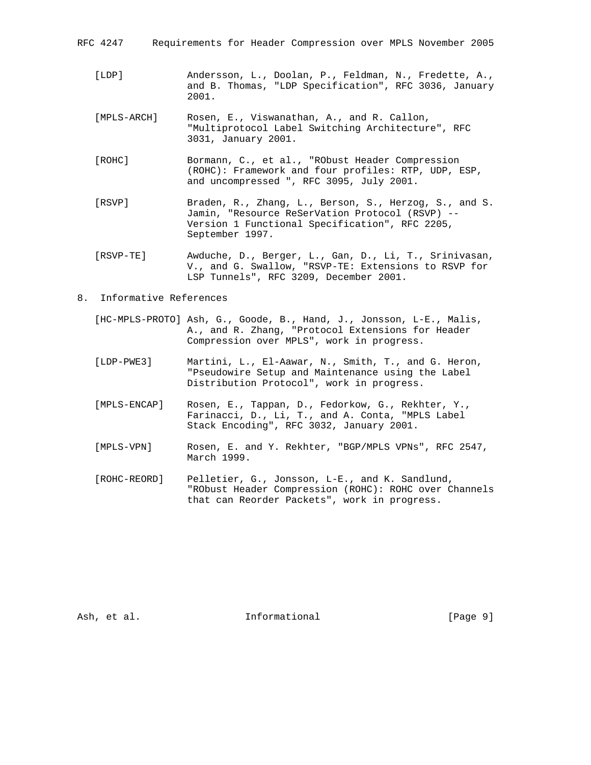| RFC 4247 | Requirements for Header Compression over MPLS November 2005 |  |  |  |  |  |  |  |
|----------|-------------------------------------------------------------|--|--|--|--|--|--|--|
|----------|-------------------------------------------------------------|--|--|--|--|--|--|--|

- [LDP] Andersson, L., Doolan, P., Feldman, N., Fredette, A., and B. Thomas, "LDP Specification", RFC 3036, January 2001.
- [MPLS-ARCH] Rosen, E., Viswanathan, A., and R. Callon, "Multiprotocol Label Switching Architecture", RFC 3031, January 2001.
- [ROHC] Bormann, C., et al., "RObust Header Compression (ROHC): Framework and four profiles: RTP, UDP, ESP, and uncompressed ", RFC 3095, July 2001.
- [RSVP] Braden, R., Zhang, L., Berson, S., Herzog, S., and S. Jamin, "Resource ReSerVation Protocol (RSVP) -- Version 1 Functional Specification", RFC 2205, September 1997.
- [RSVP-TE] Awduche, D., Berger, L., Gan, D., Li, T., Srinivasan, V., and G. Swallow, "RSVP-TE: Extensions to RSVP for LSP Tunnels", RFC 3209, December 2001.
- 8. Informative References
	- [HC-MPLS-PROTO] Ash, G., Goode, B., Hand, J., Jonsson, L-E., Malis, A., and R. Zhang, "Protocol Extensions for Header Compression over MPLS", work in progress.
	- [LDP-PWE3] Martini, L., El-Aawar, N., Smith, T., and G. Heron, "Pseudowire Setup and Maintenance using the Label Distribution Protocol", work in progress.
	- [MPLS-ENCAP] Rosen, E., Tappan, D., Fedorkow, G., Rekhter, Y., Farinacci, D., Li, T., and A. Conta, "MPLS Label Stack Encoding", RFC 3032, January 2001.
	- [MPLS-VPN] Rosen, E. and Y. Rekhter, "BGP/MPLS VPNs", RFC 2547, March 1999.
	- [ROHC-REORD] Pelletier, G., Jonsson, L-E., and K. Sandlund, "RObust Header Compression (ROHC): ROHC over Channels that can Reorder Packets", work in progress.

Ash, et al.  $\qquad \qquad$  Informational  $[Page 9]$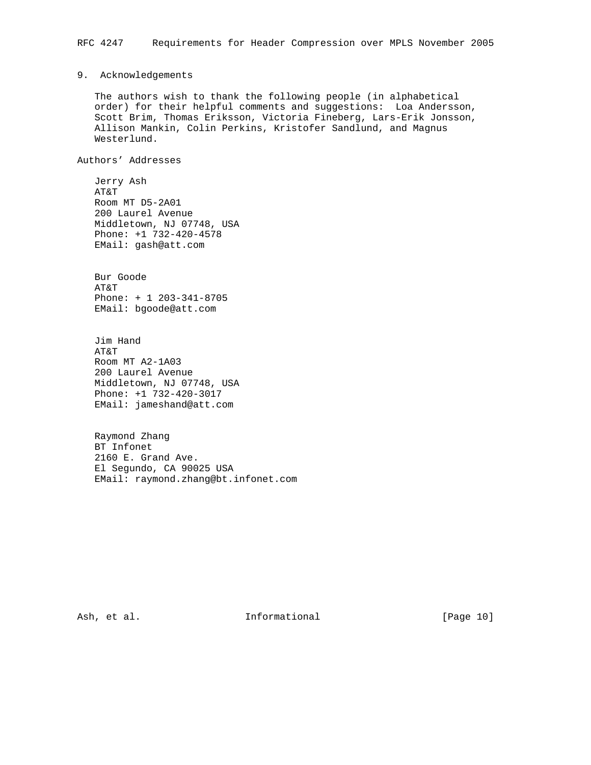## 9. Acknowledgements

 The authors wish to thank the following people (in alphabetical order) for their helpful comments and suggestions: Loa Andersson, Scott Brim, Thomas Eriksson, Victoria Fineberg, Lars-Erik Jonsson, Allison Mankin, Colin Perkins, Kristofer Sandlund, and Magnus Westerlund.

Authors' Addresses

 Jerry Ash AT&T Room MT D5-2A01 200 Laurel Avenue Middletown, NJ 07748, USA Phone: +1 732-420-4578 EMail: gash@att.com

 Bur Goode AT&T Phone: + 1 203-341-8705 EMail: bgoode@att.com

 Jim Hand AT&T Room MT A2-1A03 200 Laurel Avenue Middletown, NJ 07748, USA Phone: +1 732-420-3017 EMail: jameshand@att.com

 Raymond Zhang BT Infonet 2160 E. Grand Ave. El Segundo, CA 90025 USA EMail: raymond.zhang@bt.infonet.com

Ash, et al.  $I_n$  Informational [Page 10]